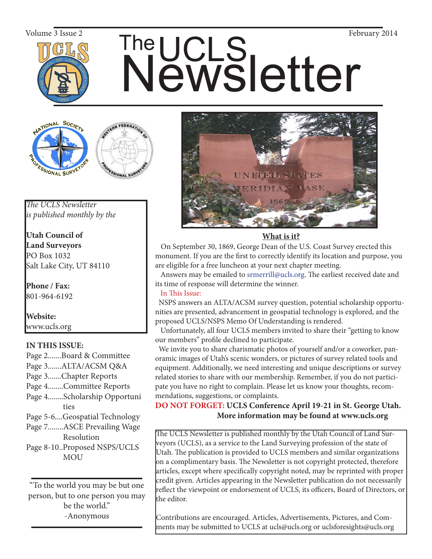

# The UCLS<br>Newsletter Volume 3 Issue 2 February 2014





*The UCLS Newsletter is published monthly by the*

**Utah Council of Land Surveyors** PO Box 1032 Salt Lake City, UT 84110

**Phone / Fax:**  801-964-6192

**Website:** www.ucls.org

# **IN THIS ISSUE:**

- Page 2.......Board & Committee Page 3.......ALTA/ACSM Q&A Page 3.......Chapter Reports Page 4........Committee Reports
- Page 4........Scholarship Opportuni ties
- Page 5-6....Geospatial Technology
- Page 7........ASCE Prevailing Wage Resolution
- Page 8-10..Proposed NSPS/UCLS MOU

"To the world you may be but one person, but to one person you may be the world." -Anonymous



## **What is it?**

 On September 30, 1869, George Dean of the U.S. Coast Survey erected this monument. If you are the first to correctly identify its location and purpose, you are eligible for a free luncheon at your next chapter meeting.

 Answers may be emailed to srmerrill@ucls.org. The earliest received date and its time of response will determine the winner.

# In This Issue:

 NSPS answers an ALTA/ACSM survey question, potential scholarship opportunities are presented, advancement in geospatial technology is explored, and the proposed UCLS/NSPS Memo Of Understanding is rendered.

 Unfortunately, all four UCLS members invited to share their "getting to know our members" profile declined to participate.

 We invite you to share charismatic photos of yourself and/or a coworker, panoramic images of Utah's scenic wonders, or pictures of survey related tools and equipment. Additionally, we need interesting and unique descriptions or survey related stories to share with our membership. Remember, if you do not participate you have no right to complain. Please let us know your thoughts, recommendations, suggestions, or complaints.

**DO NOT FORGET: UCLS Conference April 19-21 in St. George Utah. More information may be found at www.ucls.org**

The UCLS Newsletter is published monthly by the Utah Council of Land Surveyors (UCLS), as a service to the Land Surveying profession of the state of Utah. The publication is provided to UCLS members and similar organizations on a complimentary basis. The Newsletter is not copyright protected, therefore articles, except where specifically copyright noted, may be reprinted with proper credit given. Articles appearing in the Newsletter publication do not necessarily reflect the viewpoint or endorsement of UCLS, its officers, Board of Directors, or the editor.

Contributions are encouraged. Articles, Advertisements, Pictures, and Comments may be submitted to UCLS at ucls@ucls.org or uclsforesights@ucls.org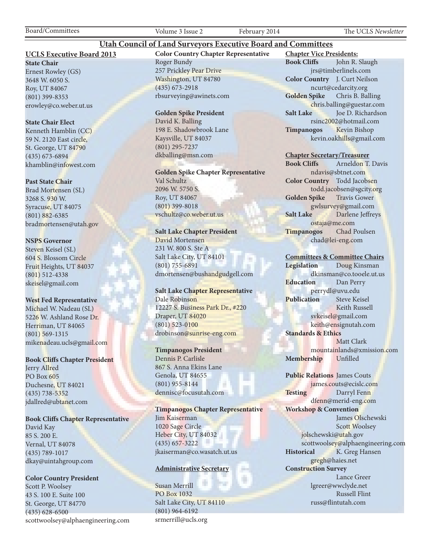Board/Committees Volume 3 Issue 2 February 2014 The UCLS *Newsletter*

#### **UCLS Executive Board 2013**

**State Chair** Ernest Rowley (GS) 3648 W. 6050 S. Roy, UT 84067 (801) 399-8353 erowley@co.weber.ut.us

#### **State Chair Elect**

Kenneth Hamblin (CC) 59 N. 2120 East circle, St. George, UT 84790 (435) 673-6894 khamblin@infowest.com

#### **Past State Chair**

Brad Mortensen (SL) 3268 S. 930 W. Syracuse, UT 84075 (801) 882-6385 bradmortensen@utah.gov

#### **NSPS Governor**

Steven Keisel (SL) 604 S. Blossom Circle Fruit Heights, UT 84037 (801) 512-4338 skeisel@gmail.com

#### **West Fed Representative**

Michael W. Nadeau (SL) 5226 W. Ashland Rose Dr. Herriman, UT 84065 (801) 569-1315 mikenadeau.ucls@gmail.com

#### **Book Cliffs Chapter President**

Jerry Allred PO Box 605 Duchesne, UT 84021 (435) 738-5352 jdallred@ubtanet.com

#### **Book Cliffs Chapter Representative**

David Kay 85 S. 200 E. Vernal, UT 84078 (435) 789-1017 dkay@uintahgroup.com

#### **Color Country President**

Scott P. Woolsey 43 S. 100 E. Suite 100 St. George, UT 84770 (435) 628-6500 scottwoolsey@alphaengineering.com **Color Country Chapter Representative** Roger Bundy 257 Prickley Pear Drive Washington, UT 84780 (435) 673-2918 rbsurveying@awinets.com

**Utah Council of Land Surveyors Executive Board and Committees**

#### **Golden Spike President**

David K. Balling 198 E. Shadowbrook Lane Kaysville, UT 84037 (801) 295-7237 dkballing@msn.com

**Golden Spike Chapter Representative** Val Schultz 2096 W. 5750 S. Roy, UT 84067 (801) 399-8018 vschultz@co.weber.ut.us

#### **Salt Lake Chapter President**

David Mortensen 231 W. 800 S. Ste A Salt Lake City, UT 84101 (801) 755-6891 dmortensen@bushandgudgell.com

#### **Salt Lake Chapter Representative** Dale Robinson 12227 S. Business Park Dr., #220 Draper, UT 84020 (801) 523-0100 drobinson@sunrise-eng.com

#### **Timpanogos President**

Dennis P. Carlisle 867 S. Anna Ekins Lane Genola, UT 84655 (801) 955-8144 dennisc@focusutah.com

**Timpanogos Chapter Representative** Jim Kaiserman 1020 Sage Circle Heber City, UT 84032 (435) 657-3222 jkaiserman@co.wasatch.ut.us

#### **Administrative Secretary**

Susan Merrill PO Box 1032 Salt Lake City, UT 84110 (801) 964-6192 srmerrill@ucls.org

**Chapter Vice Presidents: Book Cliffs** John R. Slaugh jrs@timberlinels.com **Color Country** J. Curt Neilson ncurt@cedarcity.org **Golden Spike** Chris B. Balling chris.balling@guestar.com **Salt Lake** Joe D. Richardson rsinc2002@hotmail.com **Timpanogos** Kevin Bishop kevin.oakhills@gmail.com

#### **Chapter Secretary/Treasurer**

**Book Cliffs** Arneldon T. Davis ndavis@sbtnet.com **Color Country** Todd Jacobsen todd.jacobsen@sgcity.org **Golden Spike** Travis Gower gwlsurvey@gmail.com **Salt Lake** Darlene Jeffreys ostaja@me.com **Timpanogos** Chad Poulsen chad@lei-eng.com

#### **Committees & Committee Chairs**

**Legislation** Doug Kinsman dkinsman@co.tooele.ut.us **Education** Dan Perry perrydl@uvu.edu **Publication** Steve Keisel Keith Russell svkeisel@gmail.com keith@ensignutah.com **Standards & Ethics** Matt Clark mountainlands@xmission.com **Membership** Unfilled

**Public Relations** James Couts james.couts@ecislc.com Testing Darryl Fenn dfenn@merid-eng.com **Workshop & Convention** James Olschewski Scott Woolsey jolschewski@utah.gov scottwoolsey@alphaengineering.com **Historical** K. Greg Hansen gregh@haies.net **Construction Survey** Lance Greer lgreer@wwclyde.net Russell Flint russ@flintutah.com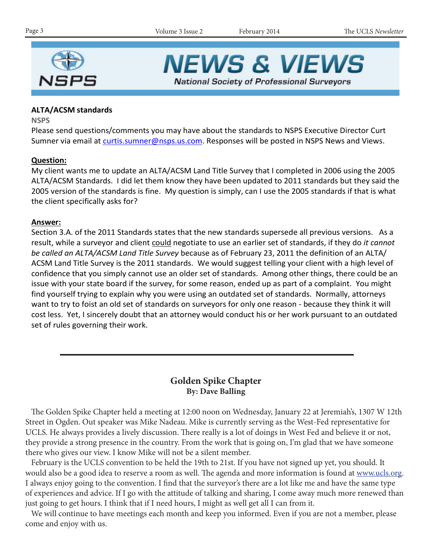

**NEWS & VIEWS National Society of Professional Surveyors** 

## **ALTA/ACSM standards**

**NSPS**

Please send questions/comments you may have about the standards to NSPS Executive Director Curt Sumner via email at curtis.sumner@nsps.us.com. Responses will be posted in NSPS News and Views.

## **Question:**

My client wants me to update an ALTA/ACSM Land Title Survey that I completed in 2006 using the 2005 ALTA/ACSM Standards. I did let them know they have been updated to 2011 standards but they said the 2005 version of the standards is fine. My question is simply, can I use the 2005 standards if that is what the client specifically asks for?

## **Answer:**

Section 3.A. of the 2011 Standards states that the new standards supersede all previous versions. As a result, while a surveyor and client could negotiate to use an earlier set of standards, if they do *it cannot be called an ALTA/ACSM Land Title Survey* because as of February 23, 2011 the definition of an ALTA/ ACSM Land Title Survey is the 2011 standards. We would suggest telling your client with a high level of confidence that you simply cannot use an older set of standards. Among other things, there could be an issue with your state board if the survey, for some reason, ended up as part of a complaint. You might find yourself trying to explain why you were using an outdated set of standards. Normally, attorneys want to try to foist an old set of standards on surveyors for only one reason - because they think it will cost less. Yet, I sincerely doubt that an attorney would conduct his or her work pursuant to an outdated set of rules governing their work.

# **Golden Spike Chapter By: Dave Balling**

 The Golden Spike Chapter held a meeting at 12:00 noon on Wednesday, January 22 at Jeremiah's, 1307 W 12th Street in Ogden. Out speaker was Mike Nadeau. Mike is currently serving as the West-Fed representative for UCLS. He always provides a lively discussion. There really is a lot of doings in West Fed and believe it or not, they provide a strong presence in the country. From the work that is going on, I'm glad that we have someone there who gives our view. I know Mike will not be a silent member.

 February is the UCLS convention to be held the 19th to 21st. If you have not signed up yet, you should. It would also be a good idea to reserve a room as well. The agenda and more information is found at www.ucls.org. I always enjoy going to the convention. I find that the surveyor's there are a lot like me and have the same type of experiences and advice. If I go with the attitude of talking and sharing, I come away much more renewed than just going to get hours. I think that if I need hours, I might as well get all I can from it.

 We will continue to have meetings each month and keep you informed. Even if you are not a member, please come and enjoy with us.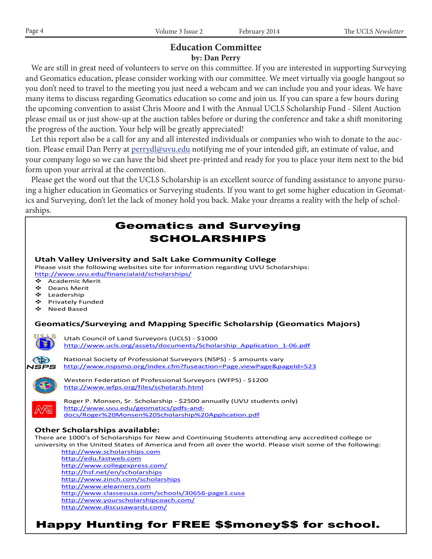## **Education Committee by: Dan Perry**

 We are still in great need of volunteers to serve on this committee. If you are interested in supporting Surveying and Geomatics education, please consider working with our committee. We meet virtually via google hangout so you don't need to travel to the meeting you just need a webcam and we can include you and your ideas. We have many items to discuss regarding Geomatics education so come and join us. If you can spare a few hours during the upcoming convention to assist Chris Moore and I with the Annual UCLS Scholarship Fund - Silent Auction please email us or just show-up at the auction tables before or during the conference and take a shift monitoring the progress of the auction. Your help will be greatly appreciated!

 Let this report also be a call for any and all interested individuals or companies who wish to donate to the auction. Please email Dan Perry at perrydl@uvu.edu notifying me of your intended gift, an estimate of value, and your company logo so we can have the bid sheet pre-printed and ready for you to place your item next to the bid form upon your arrival at the convention.

 Please get the word out that the UCLS Scholarship is an excellent source of funding assistance to anyone pursuing a higher education in Geomatics or Surveying students. If you want to get some higher education in Geomatics and Surveying, don't let the lack of money hold you back. Make your dreams a reality with the help of scholarships.

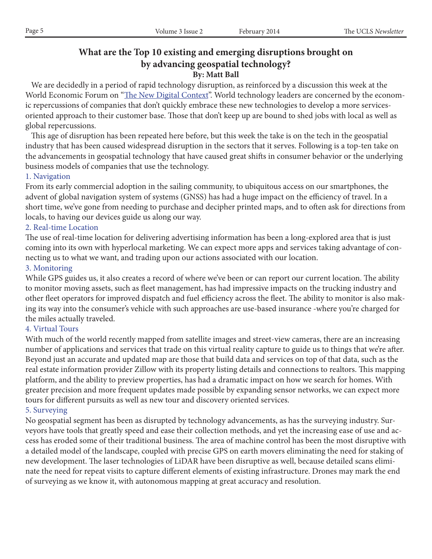# **What are the Top 10 existing and emerging disruptions brought on by advancing geospatial technology? By: Matt Ball**

 We are decidedly in a period of rapid technology disruption, as reinforced by a discussion this week at the World Economic Forum on "The New Digital Context". World technology leaders are concerned by the economic repercussions of companies that don't quickly embrace these new technologies to develop a more servicesoriented approach to their customer base. Those that don't keep up are bound to shed jobs with local as well as global repercussions.

 This age of disruption has been repeated here before, but this week the take is on the tech in the geospatial industry that has been caused widespread disruption in the sectors that it serves. Following is a top-ten take on the advancements in geospatial technology that have caused great shifts in consumer behavior or the underlying business models of companies that use the technology.

## 1. Navigation

From its early commercial adoption in the sailing community, to ubiquitous access on our smartphones, the advent of global navigation system of systems (GNSS) has had a huge impact on the efficiency of travel. In a short time, we've gone from needing to purchase and decipher printed maps, and to often ask for directions from locals, to having our devices guide us along our way.

## 2. Real-time Location

The use of real-time location for delivering advertising information has been a long-explored area that is just coming into its own with hyperlocal marketing. We can expect more apps and services taking advantage of connecting us to what we want, and trading upon our actions associated with our location.

## 3. Monitoring

While GPS guides us, it also creates a record of where we've been or can report our current location. The ability to monitor moving assets, such as fleet management, has had impressive impacts on the trucking industry and other fleet operators for improved dispatch and fuel efficiency across the fleet. The ability to monitor is also making its way into the consumer's vehicle with such approaches are use-based insurance -where you're charged for the miles actually traveled.

## 4. Virtual Tours

With much of the world recently mapped from satellite images and street-view cameras, there are an increasing number of applications and services that trade on this virtual reality capture to guide us to things that we're after. Beyond just an accurate and updated map are those that build data and services on top of that data, such as the real estate information provider Zillow with its property listing details and connections to realtors. This mapping platform, and the ability to preview properties, has had a dramatic impact on how we search for homes. With greater precision and more frequent updates made possible by expanding sensor networks, we can expect more tours for different pursuits as well as new tour and discovery oriented services.

## 5. Surveying

No geospatial segment has been as disrupted by technology advancements, as has the surveying industry. Surveyors have tools that greatly speed and ease their collection methods, and yet the increasing ease of use and access has eroded some of their traditional business. The area of machine control has been the most disruptive with a detailed model of the landscape, coupled with precise GPS on earth movers eliminating the need for staking of new development. The laser technologies of LiDAR have been disruptive as well, because detailed scans eliminate the need for repeat visits to capture different elements of existing infrastructure. Drones may mark the end of surveying as we know it, with autonomous mapping at great accuracy and resolution.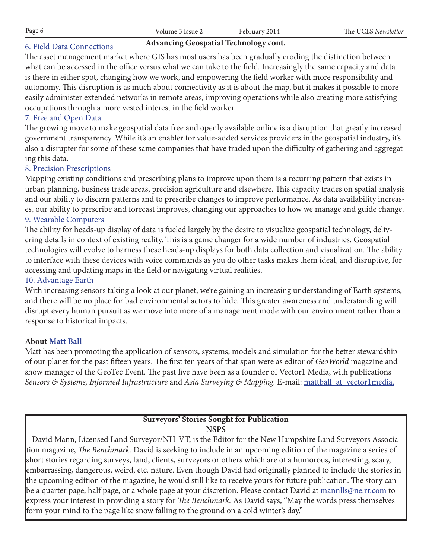## 6. Field Data Connections

#### **Advancing Geospatial Technology cont.**

The asset management market where GIS has most users has been gradually eroding the distinction between what can be accessed in the office versus what we can take to the field. Increasingly the same capacity and data is there in either spot, changing how we work, and empowering the field worker with more responsibility and autonomy. This disruption is as much about connectivity as it is about the map, but it makes it possible to more easily administer extended networks in remote areas, improving operations while also creating more satisfying occupations through a more vested interest in the field worker.

## 7. Free and Open Data

The growing move to make geospatial data free and openly available online is a disruption that greatly increased government transparency. While it's an enabler for value-added services providers in the geospatial industry, it's also a disrupter for some of these same companies that have traded upon the difficulty of gathering and aggregating this data.

## 8. Precision Prescriptions

Mapping existing conditions and prescribing plans to improve upon them is a recurring pattern that exists in urban planning, business trade areas, precision agriculture and elsewhere. This capacity trades on spatial analysis and our ability to discern patterns and to prescribe changes to improve performance. As data availability increases, our ability to prescribe and forecast improves, changing our approaches to how we manage and guide change. 9. Wearable Computers

The ability for heads-up display of data is fueled largely by the desire to visualize geospatial technology, delivering details in context of existing reality. This is a game changer for a wide number of industries. Geospatial technologies will evolve to harness these heads-up displays for both data collection and visualization. The ability to interface with these devices with voice commands as you do other tasks makes them ideal, and disruptive, for accessing and updating maps in the field or navigating virtual realities.

#### 10. Advantage Earth

With increasing sensors taking a look at our planet, we're gaining an increasing understanding of Earth systems, and there will be no place for bad environmental actors to hide. This greater awareness and understanding will disrupt every human pursuit as we move into more of a management mode with our environment rather than a response to historical impacts.

#### **About Matt Ball**

Matt has been promoting the application of sensors, systems, models and simulation for the better stewardship of our planet for the past fifteen years. The first ten years of that span were as editor of *GeoWorld* magazine and show manager of the GeoTec Event. The past five have been as a founder of Vector1 Media, with publications *Sensors & Systems, Informed Infrastructure* and *Asia Surveying & Mapping.* E-mail: mattball\_at\_vector1media.

#### **Surveyors' Stories Sought for Publication NSPS**

 David Mann, Licensed Land Surveyor/NH-VT, is the Editor for the New Hampshire Land Surveyors Association magazine, *The Benchmark.* David is seeking to include in an upcoming edition of the magazine a series of short stories regarding surveys, land, clients, surveyors or others which are of a humorous, interesting, scary, embarrassing, dangerous, weird, etc. nature. Even though David had originally planned to include the stories in the upcoming edition of the magazine, he would still like to receive yours for future publication. The story can be a quarter page, half page, or a whole page at your discretion. Please contact David at <u>mannlls@ne.rr.com</u> to express your interest in providing a story for *The Benchmark.* As David says, "May the words press themselves form your mind to the page like snow falling to the ground on a cold winter's day."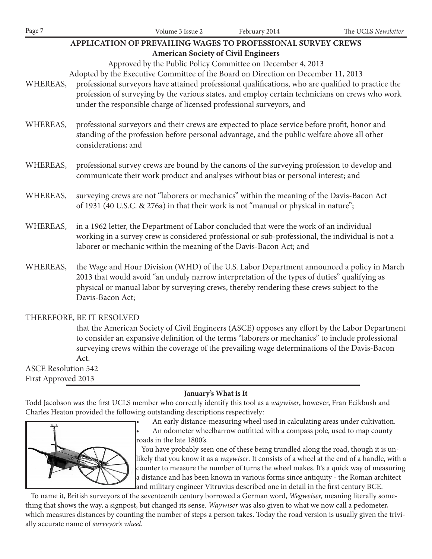| Page 7                                                                                                   | Volume 3 Issue 2                                                                                                                                                                                          | February 2014 | The UCLS Newsletter |
|----------------------------------------------------------------------------------------------------------|-----------------------------------------------------------------------------------------------------------------------------------------------------------------------------------------------------------|---------------|---------------------|
| APPLICATION OF PREVAILING WAGES TO PROFESSIONAL SURVEY CREWS                                             |                                                                                                                                                                                                           |               |                     |
| <b>American Society of Civil Engineers</b>                                                               |                                                                                                                                                                                                           |               |                     |
|                                                                                                          | Approved by the Public Policy Committee on December 4, 2013                                                                                                                                               |               |                     |
|                                                                                                          | Adopted by the Executive Committee of the Board on Direction on December 11, 2013                                                                                                                         |               |                     |
| WHEREAS,                                                                                                 | professional surveyors have attained professional qualifications, who are qualified to practice the                                                                                                       |               |                     |
|                                                                                                          | profession of surveying by the various states, and employ certain technicians on crews who work<br>under the responsible charge of licensed professional surveyors, and                                   |               |                     |
|                                                                                                          |                                                                                                                                                                                                           |               |                     |
|                                                                                                          | professional surveyors and their crews are expected to place service before profit, honor and<br>WHEREAS,<br>standing of the profession before personal advantage, and the public welfare above all other |               |                     |
|                                                                                                          |                                                                                                                                                                                                           |               |                     |
|                                                                                                          | considerations; and                                                                                                                                                                                       |               |                     |
|                                                                                                          |                                                                                                                                                                                                           |               |                     |
| professional survey crews are bound by the canons of the surveying profession to develop and<br>WHEREAS, |                                                                                                                                                                                                           |               |                     |
|                                                                                                          | communicate their work product and analyses without bias or personal interest; and                                                                                                                        |               |                     |
| WHEREAS,                                                                                                 | surveying crews are not "laborers or mechanics" within the meaning of the Davis-Bacon Act                                                                                                                 |               |                     |
|                                                                                                          | of 1931 (40 U.S.C. & 276a) in that their work is not "manual or physical in nature";                                                                                                                      |               |                     |
|                                                                                                          |                                                                                                                                                                                                           |               |                     |
| WHEREAS,                                                                                                 | in a 1962 letter, the Department of Labor concluded that were the work of an individual                                                                                                                   |               |                     |
|                                                                                                          | working in a survey crew is considered professional or sub-professional, the individual is not a                                                                                                          |               |                     |
|                                                                                                          | laborer or mechanic within the meaning of the Davis-Bacon Act; and                                                                                                                                        |               |                     |
| WHEREAS,                                                                                                 | the Wage and Hour Division (WHD) of the U.S. Labor Department announced a policy in March                                                                                                                 |               |                     |
|                                                                                                          | 2013 that would avoid "an unduly narrow interpretation of the types of duties" qualifying as                                                                                                              |               |                     |
|                                                                                                          | physical or manual labor by surveying crews, thereby rendering these crews subject to the                                                                                                                 |               |                     |
|                                                                                                          | Davis-Bacon Act;                                                                                                                                                                                          |               |                     |
|                                                                                                          |                                                                                                                                                                                                           |               |                     |

#### THEREFORE, BE IT RESOLVED

 that the American Society of Civil Engineers (ASCE) opposes any effort by the Labor Department to consider an expansive definition of the terms "laborers or mechanics" to include professional surveying crews within the coverage of the prevailing wage determinations of the Davis-Bacon Act.

ASCE Resolution 542 First Approved 2013

#### **January's What is It**

Todd Jacobson was the first UCLS member who correctly identify this tool as a *waywiser*, however, Fran Ecikbush and Charles Heaton provided the following outstanding descriptions respectively:



An early distance-measuring wheel used in calculating areas under cultivation. An odometer wheelbarrow outfitted with a compass pole, used to map county roads in the late 1800's.

 You have probably seen one of these being trundled along the road, though it is unlikely that you know it as a *waywiser*. It consists of a wheel at the end of a handle, with a counter to measure the number of turns the wheel makes. It's a quick way of measuring a distance and has been known in various forms since antiquity - the Roman architect and military engineer Vitruvius described one in detail in the first century BCE.

 To name it, British surveyors of the seventeenth century borrowed a German word, *Wegweiser,* meaning literally something that shows the way, a signpost, but changed its sense. *Waywiser* was also given to what we now call a pedometer, which measures distances by counting the number of steps a person takes. Today the road version is usually given the trivially accurate name of *surveyor's wheel.*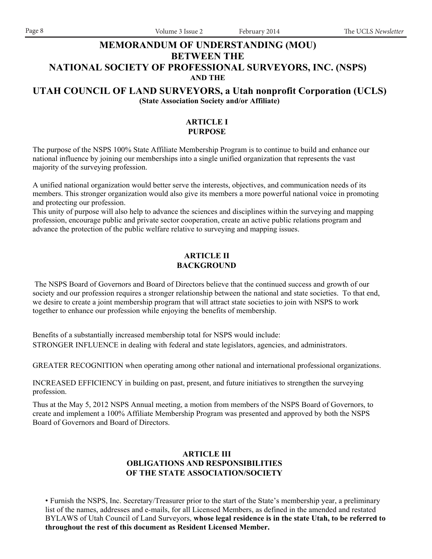## **MEMORANDUM OF UNDERSTANDING (MOU) BETWEEN THE NATIONAL SOCIETY OF PROFESSIONAL SURVEYORS, INC. (NSPS)**

#### **AND THE**

## **UTAH COUNCIL OF LAND SURVEYORS, a Utah nonprofit Corporation (UCLS) (State Association Society and/or Affiliate)**

#### **ARTICLE I PURPOSE**

The purpose of the NSPS 100% State Affiliate Membership Program is to continue to build and enhance our national influence by joining our memberships into a single unified organization that represents the vast majority of the surveying profession.

A unified national organization would better serve the interests, objectives, and communication needs of its members. This stronger organization would also give its members a more powerful national voice in promoting and protecting our profession.

This unity of purpose will also help to advance the sciences and disciplines within the surveying and mapping profession, encourage public and private sector cooperation, create an active public relations program and advance the protection of the public welfare relative to surveying and mapping issues.

#### **ARTICLE II BACKGROUND**

 The NSPS Board of Governors and Board of Directors believe that the continued success and growth of our society and our profession requires a stronger relationship between the national and state societies. To that end, we desire to create a joint membership program that will attract state societies to join with NSPS to work together to enhance our profession while enjoying the benefits of membership.

Benefits of a substantially increased membership total for NSPS would include: STRONGER INFLUENCE in dealing with federal and state legislators, agencies, and administrators.

GREATER RECOGNITION when operating among other national and international professional organizations.

INCREASED EFFICIENCY in building on past, present, and future initiatives to strengthen the surveying profession.

Thus at the May 5, 2012 NSPS Annual meeting, a motion from members of the NSPS Board of Governors, to create and implement a 100% Affiliate Membership Program was presented and approved by both the NSPS Board of Governors and Board of Directors.

## **ARTICLE III OBLIGATIONS AND RESPONSIBILITIES OF THE STATE ASSOCIATION/SOCIETY**

• Furnish the NSPS, Inc. Secretary/Treasurer prior to the start of the State's membership year, a preliminary list of the names, addresses and e-mails, for all Licensed Members, as defined in the amended and restated BYLAWS of Utah Council of Land Surveyors, **whose legal residence is in the state Utah, to be referred to throughout the rest of this document as Resident Licensed Member.**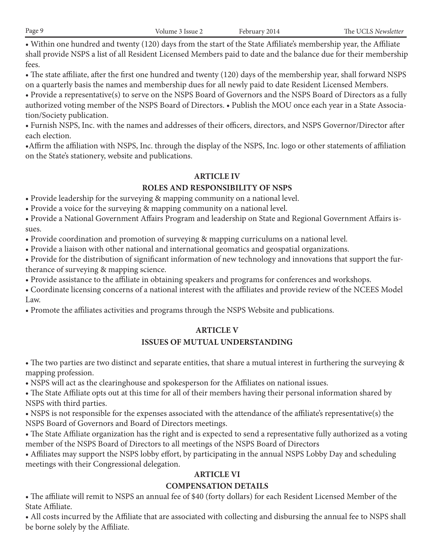• Within one hundred and twenty (120) days from the start of the State Affiliate's membership year, the Affiliate shall provide NSPS a list of all Resident Licensed Members paid to date and the balance due for their membership fees.

• The state affiliate, after the first one hundred and twenty (120) days of the membership year, shall forward NSPS on a quarterly basis the names and membership dues for all newly paid to date Resident Licensed Members.

• Provide a representative(s) to serve on the NSPS Board of Governors and the NSPS Board of Directors as a fully authorized voting member of the NSPS Board of Directors. • Publish the MOU once each year in a State Association/Society publication.

• Furnish NSPS, Inc. with the names and addresses of their officers, directors, and NSPS Governor/Director after each election.

•Affirm the affiliation with NSPS, Inc. through the display of the NSPS, Inc. logo or other statements of affiliation on the State's stationery, website and publications.

# **ARTICLE IV**

# **ROLES AND RESPONSIBILITY OF NSPS**

• Provide leadership for the surveying & mapping community on a national level.

• Provide a voice for the surveying & mapping community on a national level.

• Provide a National Government Affairs Program and leadership on State and Regional Government Affairs issues.

• Provide coordination and promotion of surveying & mapping curriculums on a national level.

• Provide a liaison with other national and international geomatics and geospatial organizations.

• Provide for the distribution of significant information of new technology and innovations that support the furtherance of surveying & mapping science.

• Provide assistance to the affiliate in obtaining speakers and programs for conferences and workshops.

• Coordinate licensing concerns of a national interest with the affiliates and provide review of the NCEES Model Law.

• Promote the affiliates activities and programs through the NSPS Website and publications.

# **ARTICLE V**

# **ISSUES OF MUTUAL UNDERSTANDING**

• The two parties are two distinct and separate entities, that share a mutual interest in furthering the surveying & mapping profession.

• NSPS will act as the clearinghouse and spokesperson for the Affiliates on national issues.

• The State Affiliate opts out at this time for all of their members having their personal information shared by NSPS with third parties.

• NSPS is not responsible for the expenses associated with the attendance of the affiliate's representative(s) the NSPS Board of Governors and Board of Directors meetings.

• The State Affiliate organization has the right and is expected to send a representative fully authorized as a voting member of the NSPS Board of Directors to all meetings of the NSPS Board of Directors

• Affiliates may support the NSPS lobby effort, by participating in the annual NSPS Lobby Day and scheduling meetings with their Congressional delegation.

# **ARTICLE VI**

# **COMPENSATION DETAILS**

• The affiliate will remit to NSPS an annual fee of \$40 (forty dollars) for each Resident Licensed Member of the State Affiliate.

• All costs incurred by the Affiliate that are associated with collecting and disbursing the annual fee to NSPS shall be borne solely by the Affiliate.